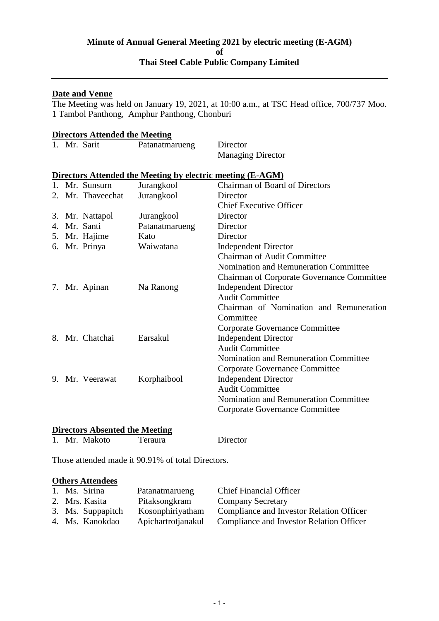# **Minute of Annual General Meeting 2021 by electric meeting (E-AGM) of Thai Steel Cable Public Company Limited**

## **Date and Venue**

The Meeting was held on January 19, 2021, at 10:00 a.m., at TSC Head office, 700/737 Moo. 1 Tambol Panthong, Amphur Panthong, Chonburi

| <b>Directors Attended the Meeting</b> |                   |                                                                   |                                                   |  |  |  |
|---------------------------------------|-------------------|-------------------------------------------------------------------|---------------------------------------------------|--|--|--|
|                                       | 1. Mr. Sarit      | Patanatmarueng                                                    | Director                                          |  |  |  |
|                                       |                   |                                                                   | <b>Managing Director</b>                          |  |  |  |
|                                       |                   | <b>Directors Attended the Meeting by electric meeting (E-AGM)</b> |                                                   |  |  |  |
|                                       | 1. Mr. Sunsurn    | Jurangkool                                                        | <b>Chairman of Board of Directors</b>             |  |  |  |
|                                       | 2. Mr. Thaveechat | Jurangkool                                                        | Director                                          |  |  |  |
|                                       |                   |                                                                   | <b>Chief Executive Officer</b>                    |  |  |  |
|                                       | 3. Mr. Nattapol   | Jurangkool                                                        | Director                                          |  |  |  |
|                                       | 4. Mr. Santi      | Patanatmarueng                                                    | Director                                          |  |  |  |
|                                       | 5. Mr. Hajime     | Kato                                                              | Director                                          |  |  |  |
|                                       | 6. Mr. Prinya     | Waiwatana                                                         | <b>Independent Director</b>                       |  |  |  |
|                                       |                   |                                                                   | <b>Chairman of Audit Committee</b>                |  |  |  |
|                                       |                   |                                                                   | Nomination and Remuneration Committee             |  |  |  |
|                                       |                   |                                                                   | <b>Chairman of Corporate Governance Committee</b> |  |  |  |
|                                       | 7. Mr. Apinan     | Na Ranong                                                         | <b>Independent Director</b>                       |  |  |  |
|                                       |                   |                                                                   | <b>Audit Committee</b>                            |  |  |  |
|                                       |                   |                                                                   | Chairman of Nomination and Remuneration           |  |  |  |
|                                       |                   |                                                                   | Committee                                         |  |  |  |
|                                       |                   |                                                                   | <b>Corporate Governance Committee</b>             |  |  |  |
|                                       | 8. Mr. Chatchai   | Earsakul                                                          | <b>Independent Director</b>                       |  |  |  |
|                                       |                   |                                                                   | <b>Audit Committee</b>                            |  |  |  |
|                                       |                   |                                                                   | Nomination and Remuneration Committee             |  |  |  |
|                                       |                   |                                                                   | <b>Corporate Governance Committee</b>             |  |  |  |
|                                       | 9. Mr. Veerawat   | Korphaibool                                                       | <b>Independent Director</b>                       |  |  |  |
|                                       |                   |                                                                   | <b>Audit Committee</b>                            |  |  |  |
|                                       |                   |                                                                   | Nomination and Remuneration Committee             |  |  |  |
|                                       |                   |                                                                   | Corporate Governance Committee                    |  |  |  |
|                                       |                   |                                                                   |                                                   |  |  |  |

# **Directors Absented the Meeting**

1. Mr. Makoto Teraura Director

Those attended made it 90.91% of total Directors.

# **Others Attendees**

| 1. Ms. Sirina     | Patanatmarueng     | <b>Chief Financial Officer</b>           |
|-------------------|--------------------|------------------------------------------|
| 2. Mrs. Kasita    | Pitaksongkram      | <b>Company Secretary</b>                 |
| 3. Ms. Suppapitch | Kosonphiriyatham   | Compliance and Investor Relation Officer |
| 4. Ms. Kanokdao   | Apichartrotianakul | Compliance and Investor Relation Officer |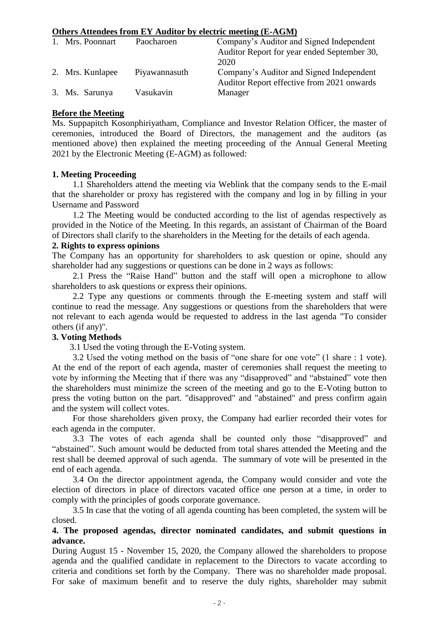# **Others Attendees from EY Auditor by electric meeting (E-AGM)**

| 1. Mrs. Poonnart | Paocharoen    | Company's Auditor and Signed Independent    |
|------------------|---------------|---------------------------------------------|
|                  |               | Auditor Report for year ended September 30, |
|                  |               | 2020                                        |
| 2. Mrs. Kunlapee | Piyawannasuth | Company's Auditor and Signed Independent    |
|                  |               | Auditor Report effective from 2021 onwards  |
| 3. Ms. Sarunya   | Vasukavin     | Manager                                     |

### **Before the Meeting**

Ms. Suppapitch Kosonphiriyatham, Compliance and Investor Relation Officer, the master of ceremonies, introduced the Board of Directors, the management and the auditors (as mentioned above) then explained the meeting proceeding of the Annual General Meeting 2021 by the Electronic Meeting (E-AGM) as followed:

### **1. Meeting Proceeding**

1.1 Shareholders attend the meeting via Weblink that the company sends to the E-mail that the shareholder or proxy has registered with the company and log in by filling in your Username and Password

1.2 The Meeting would be conducted according to the list of agendas respectively as provided in the Notice of the Meeting. In this regards, an assistant of Chairman of the Board of Directors shall clarify to the shareholders in the Meeting for the details of each agenda.

#### **2. Rights to express opinions**

The Company has an opportunity for shareholders to ask question or opine, should any shareholder had any suggestions or questions can be done in 2 ways as follows:

2.1 Press the "Raise Hand" button and the staff will open a microphone to allow shareholders to ask questions or express their opinions.

2.2 Type any questions or comments through the E-meeting system and staff will continue to read the message. Any suggestions or questions from the shareholders that were not relevant to each agenda would be requested to address in the last agenda "To consider others (if any)".

## **3. Voting Methods**

3.1 Used the voting through the E-Voting system.

3.2 Used the voting method on the basis of "one share for one vote" (1 share : 1 vote). At the end of the report of each agenda, master of ceremonies shall request the meeting to vote by informing the Meeting that if there was any "disapproved" and "abstained" vote then the shareholders must minimize the screen of the meeting and go to the E-Voting button to press the voting button on the part. "disapproved" and "abstained" and press confirm again and the system will collect votes.

For those shareholders given proxy, the Company had earlier recorded their votes for each agenda in the computer.

3.3 The votes of each agenda shall be counted only those "disapproved" and "abstained". Such amount would be deducted from total shares attended the Meeting and the rest shall be deemed approval of such agenda. The summary of vote will be presented in the end of each agenda.

3.4 On the director appointment agenda, the Company would consider and vote the election of directors in place of directors vacated office one person at a time, in order to comply with the principles of goods corporate governance.

3.5 In case that the voting of all agenda counting has been completed, the system will be closed.

## **4. The proposed agendas, director nominated candidates, and submit questions in advance.**

During August 15 - November 15, 2020, the Company allowed the shareholders to propose agenda and the qualified candidate in replacement to the Directors to vacate according to criteria and conditions set forth by the Company. There was no shareholder made proposal. For sake of maximum benefit and to reserve the duly rights, shareholder may submit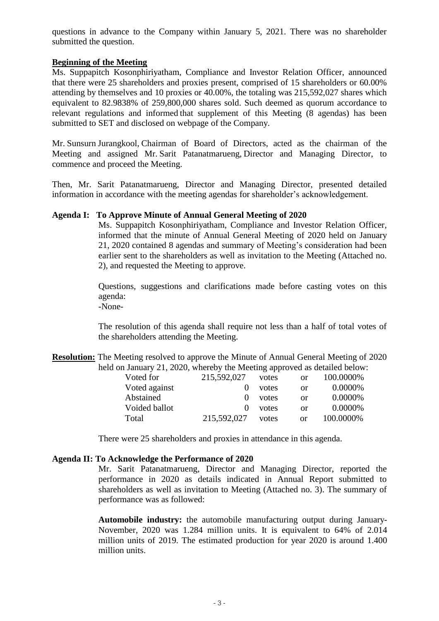questions in advance to the Company within January 5, 2021. There was no shareholder submitted the question.

## **Beginning of the Meeting**

Ms. Suppapitch Kosonphiriyatham, Compliance and Investor Relation Officer, announced that there were 25 shareholders and proxies present, comprised of 15 shareholders or 60.00% attending by themselves and 10 proxies or 40.00%, the totaling was 215,592,027 shares which equivalent to 82.9838% of 259,800,000 shares sold. Such deemed as quorum accordance to relevant regulations and informed that supplement of this Meeting (8 agendas) has been submitted to SET and disclosed on webpage of the Company.

Mr. Sunsurn Jurangkool, Chairman of Board of Directors, acted as the chairman of the Meeting and assigned Mr. Sarit Patanatmarueng, Director and Managing Director, to commence and proceed the Meeting.

Then, Mr. Sarit Patanatmarueng, Director and Managing Director, presented detailed information in accordance with the meeting agendas for shareholder's acknowledgement.

## **Agenda I: To Approve Minute of Annual General Meeting of 2020**

Ms. Suppapitch Kosonphiriyatham, Compliance and Investor Relation Officer, informed that the minute of Annual General Meeting of 2020 held on January 21, 2020 contained 8 agendas and summary of Meeting's consideration had been earlier sent to the shareholders as well as invitation to the Meeting (Attached no. 2), and requested the Meeting to approve.

Questions, suggestions and clarifications made before casting votes on this agenda: -None-

The resolution of this agenda shall require not less than a half of total votes of the shareholders attending the Meeting.

**Resolution:** The Meeting resolved to approve the Minute of Annual General Meeting of 2020 held on January 21, 2020, whereby the Meeting approved as detailed below:

| 215,592,027 | votes | or            | 100.0000% |
|-------------|-------|---------------|-----------|
|             | votes | or            | 0.0000%   |
| $\theta$    | votes | or            | 0.0000%   |
|             | votes | or            | 0.0000%   |
| 215,592,027 | votes | <sub>or</sub> | 100.0000% |
|             |       |               |           |

There were 25 shareholders and proxies in attendance in this agenda.

### **Agenda II: To Acknowledge the Performance of 2020**

Mr. Sarit Patanatmarueng, Director and Managing Director, reported the performance in 2020 as details indicated in Annual Report submitted to shareholders as well as invitation to Meeting (Attached no. 3). The summary of performance was as followed:

**Automobile industry:** the automobile manufacturing output during January-November, 2020 was 1.284 million units. It is equivalent to 64% of 2.014 million units of 2019. The estimated production for year 2020 is around 1.400 million units.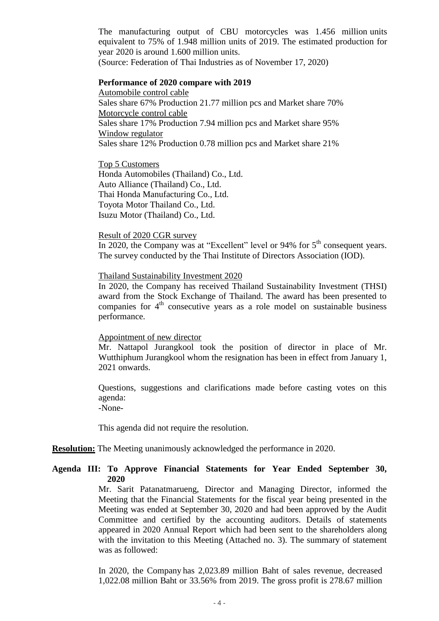The manufacturing output of CBU motorcycles was 1.456 million units equivalent to 75% of 1.948 million units of 2019. The estimated production for year 2020 is around 1.600 million units.

(Source: Federation of Thai Industries as of November 17, 2020)

#### **Performance of 2020 compare with 2019**

Automobile control cable Sales share 67% Production 21.77 million pcs and Market share 70% Motorcycle control cable Sales share 17% Production 7.94 million pcs and Market share 95% Window regulator Sales share 12% Production 0.78 million pcs and Market share 21%

Top 5 Customers Honda Automobiles (Thailand) Co., Ltd. Auto Alliance (Thailand) Co., Ltd. Thai Honda Manufacturing Co., Ltd. Toyota Motor Thailand Co., Ltd. Isuzu Motor (Thailand) Co., Ltd.

#### Result of 2020 CGR survey

In 2020, the Company was at "Excellent" level or 94% for  $5<sup>th</sup>$  consequent years. The survey conducted by the Thai Institute of Directors Association (IOD).

### Thailand Sustainability Investment 2020

In 2020, the Company has received Thailand Sustainability Investment (THSI) award from the Stock Exchange of Thailand. The award has been presented to companies for 4<sup>th</sup> consecutive years as a role model on sustainable business performance.

### Appointment of new director

Mr. Nattapol Jurangkool took the position of director in place of Mr. Wutthiphum Jurangkool whom the resignation has been in effect from January 1, 2021 onwards.

Questions, suggestions and clarifications made before casting votes on this agenda: -None-

This agenda did not require the resolution.

### **Resolution:** The Meeting unanimously acknowledged the performance in 2020.

## **Agenda III: To Approve Financial Statements for Year Ended September 30, 2020**

Mr. Sarit Patanatmarueng, Director and Managing Director, informed the Meeting that the Financial Statements for the fiscal year being presented in the Meeting was ended at September 30, 2020 and had been approved by the Audit Committee and certified by the accounting auditors. Details of statements appeared in 2020 Annual Report which had been sent to the shareholders along with the invitation to this Meeting (Attached no. 3). The summary of statement was as followed:

In 2020, the Company has 2,023.89 million Baht of sales revenue, decreased 1,022.08 million Baht or 33.56% from 2019. The gross profit is 278.67 million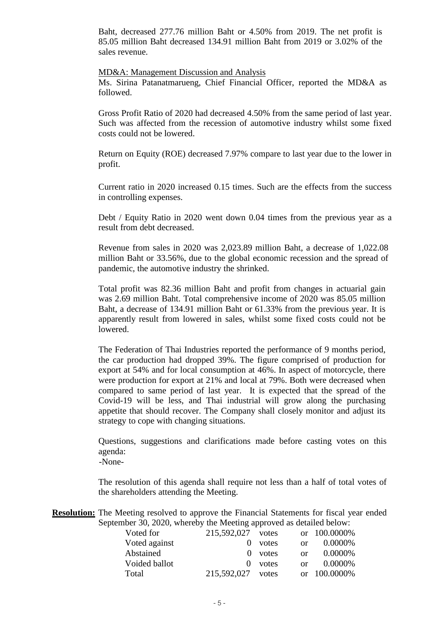Baht, decreased 277.76 million Baht or 4.50% from 2019. The net profit is 85.05 million Baht decreased 134.91 million Baht from 2019 or 3.02% of the sales revenue.

#### MD&A: Management Discussion and Analysis

Ms. Sirina Patanatmarueng, Chief Financial Officer, reported the MD&A as followed.

Gross Profit Ratio of 2020 had decreased 4.50% from the same period of last year. Such was affected from the recession of automotive industry whilst some fixed costs could not be lowered.

Return on Equity (ROE) decreased 7.97% compare to last year due to the lower in profit.

Current ratio in 2020 increased 0.15 times. Such are the effects from the success in controlling expenses.

Debt / Equity Ratio in 2020 went down 0.04 times from the previous year as a result from debt decreased.

Revenue from sales in 2020 was 2,023.89 million Baht, a decrease of 1,022.08 million Baht or 33.56%, due to the global economic recession and the spread of pandemic, the automotive industry the shrinked.

Total profit was 82.36 million Baht and profit from changes in actuarial gain was 2.69 million Baht. Total comprehensive income of 2020 was 85.05 million Baht, a decrease of 134.91 million Baht or 61.33% from the previous year. It is apparently result from lowered in sales, whilst some fixed costs could not be lowered.

The Federation of Thai Industries reported the performance of 9 months period, the car production had dropped 39%. The figure comprised of production for export at 54% and for local consumption at 46%. In aspect of motorcycle, there were production for export at 21% and local at 79%. Both were decreased when compared to same period of last year. It is expected that the spread of the Covid-19 will be less, and Thai industrial will grow along the purchasing appetite that should recover. The Company shall closely monitor and adjust its strategy to cope with changing situations.

Questions, suggestions and clarifications made before casting votes on this agenda:

-None-

The resolution of this agenda shall require not less than a half of total votes of the shareholders attending the Meeting.

**Resolution:** The Meeting resolved to approve the Financial Statements for fiscal year ended September 30, 2020, whereby the Meeting approved as detailed below:

| Voted for     | 215,592,027 votes |           |    | or 100.0000% |
|---------------|-------------------|-----------|----|--------------|
| Voted against |                   | votes     | or | $0.0000\%$   |
| Abstained     |                   | $0$ votes | or | $0.0000\%$   |
| Voided ballot | $\Omega$          | votes     | or | $0.0000\%$   |
| Total         | 215,592,027       | votes     |    | or 100.0000% |
|               |                   |           |    |              |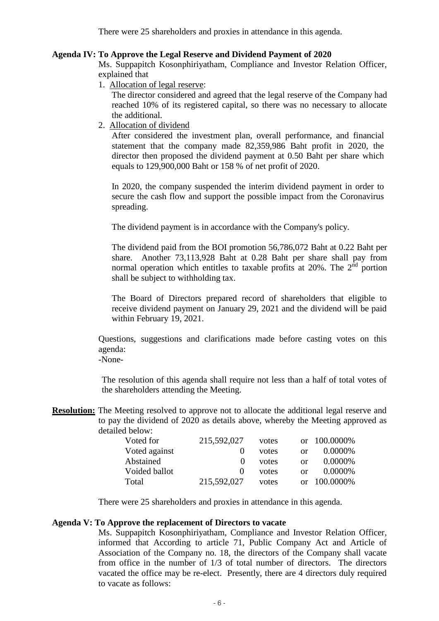There were 25 shareholders and proxies in attendance in this agenda.

#### **Agenda IV: To Approve the Legal Reserve and Dividend Payment of 2020**

Ms. Suppapitch Kosonphiriyatham, Compliance and Investor Relation Officer, explained that

1. Allocation of legal reserve:

The director considered and agreed that the legal reserve of the Company had reached 10% of its registered capital, so there was no necessary to allocate the additional.

2. Allocation of dividend

After considered the investment plan, overall performance, and financial statement that the company made 82,359,986 Baht profit in 2020, the director then proposed the dividend payment at 0.50 Baht per share which equals to 129,900,000 Baht or 158 % of net profit of 2020.

In 2020, the company suspended the interim dividend payment in order to secure the cash flow and support the possible impact from the Coronavirus spreading.

The dividend payment is in accordance with the Company's policy.

The dividend paid from the BOI promotion 56,786,072 Baht at 0.22 Baht per share. Another 73,113,928 Baht at 0.28 Baht per share shall pay from normal operation which entitles to taxable profits at  $20\%$ . The  $2^{\text{nd}}$  portion shall be subject to withholding tax.

The Board of Directors prepared record of shareholders that eligible to receive dividend payment on January 29, 2021 and the dividend will be paid within February 19, 2021.

Questions, suggestions and clarifications made before casting votes on this agenda: -None-

The resolution of this agenda shall require not less than a half of total votes of the shareholders attending the Meeting.

**Resolution:** The Meeting resolved to approve not to allocate the additional legal reserve and to pay the dividend of 2020 as details above, whereby the Meeting approved as detailed below:

| Voted for     | 215,592,027 | votes |               | or 100.0000\% |
|---------------|-------------|-------|---------------|---------------|
| Voted against |             | votes | <sub>or</sub> | $0.0000\%$    |
| Abstained     | $\theta$    | votes | <sub>or</sub> | $0.0000\%$    |
| Voided ballot |             | votes | $\alpha$      | $0.0000\%$    |
| Total         | 215,592,027 | votes |               | or 100.0000%  |

There were 25 shareholders and proxies in attendance in this agenda.

## **Agenda V: To Approve the replacement of Directors to vacate**

Ms. Suppapitch Kosonphiriyatham, Compliance and Investor Relation Officer, informed that According to article 71, Public Company Act and Article of Association of the Company no. 18, the directors of the Company shall vacate from office in the number of 1/3 of total number of directors. The directors vacated the office may be re-elect. Presently, there are 4 directors duly required to vacate as follows: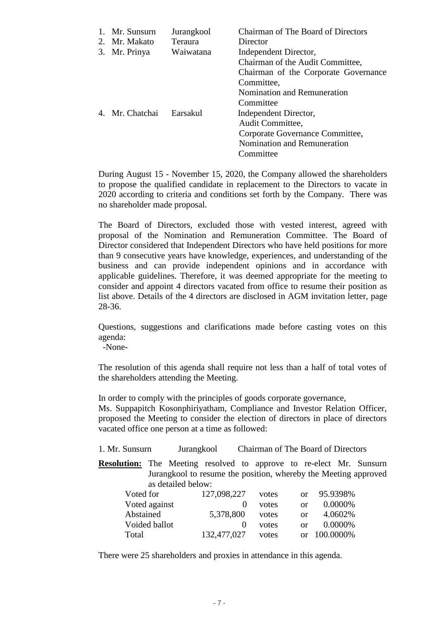| Mr. Sunsurn<br>2. Mr. Makato | Jurangkool<br>Teraura | <b>Chairman of The Board of Directors</b><br>Director     |
|------------------------------|-----------------------|-----------------------------------------------------------|
| 3. Mr. Prinya                | Waiwatana             | Independent Director,<br>Chairman of the Audit Committee, |
|                              |                       | Chairman of the Corporate Governance                      |
|                              |                       | Committee,                                                |
|                              |                       | Nomination and Remuneration                               |
|                              |                       | Committee                                                 |
| 4. Mr. Chatchai              | Earsakul              | Independent Director,                                     |
|                              |                       | Audit Committee,                                          |
|                              |                       | Corporate Governance Committee,                           |
|                              |                       | Nomination and Remuneration                               |
|                              |                       | Committee                                                 |

During August 15 - November 15, 2020, the Company allowed the shareholders to propose the qualified candidate in replacement to the Directors to vacate in 2020 according to criteria and conditions set forth by the Company. There was no shareholder made proposal.

The Board of Directors, excluded those with vested interest, agreed with proposal of the Nomination and Remuneration Committee. The Board of Director considered that Independent Directors who have held positions for more than 9 consecutive years have knowledge, experiences, and understanding of the business and can provide independent opinions and in accordance with applicable guidelines. Therefore, it was deemed appropriate for the meeting to consider and appoint 4 directors vacated from office to resume their position as list above. Details of the 4 directors are disclosed in AGM invitation letter, page 28-36.

Questions, suggestions and clarifications made before casting votes on this agenda:

-None-

The resolution of this agenda shall require not less than a half of total votes of the shareholders attending the Meeting.

In order to comply with the principles of goods corporate governance,

Ms. Suppapitch Kosonphiriyatham, Compliance and Investor Relation Officer, proposed the Meeting to consider the election of directors in place of directors vacated office one person at a time as followed:

| 1. Mr. Sunsurn | Jurangkool | Chairman of The Board of Directors |  |
|----------------|------------|------------------------------------|--|
|----------------|------------|------------------------------------|--|

**Resolution:** The Meeting resolved to approve to re-elect Mr. Sunsurn Jurangkool to resume the position, whereby the Meeting approved as detailed below:

| Voted for     | 127,098,227 | votes |            | or 95.9398\% |
|---------------|-------------|-------|------------|--------------|
| Voted against |             | votes | $\alpha$ r | $0.0000\%$   |
| Abstained     | 5,378,800   | votes | 0r         | 4.0602\%     |
| Voided ballot |             | votes | $\alpha$ r | $0.0000\%$   |
| Total         | 132,477,027 | votes |            | or 100,0000% |

There were 25 shareholders and proxies in attendance in this agenda.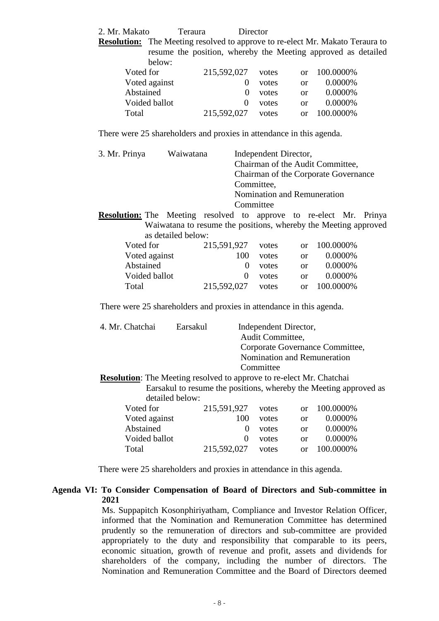2. Mr. Makato Teraura Director

| <b>Resolution:</b> The Meeting resolved to approve to re-elect Mr. Makato Teraura to |               |                                                               |                   |       |               |              |  |
|--------------------------------------------------------------------------------------|---------------|---------------------------------------------------------------|-------------------|-------|---------------|--------------|--|
|                                                                                      |               | resume the position, whereby the Meeting approved as detailed |                   |       |               |              |  |
|                                                                                      | below:        |                                                               |                   |       |               |              |  |
| Voted for                                                                            |               |                                                               | 215,592,027 votes |       |               | or 100.0000% |  |
|                                                                                      | Voted against |                                                               |                   | votes | <sub>or</sub> | $0.0000\%$   |  |
| $\cdots$                                                                             |               |                                                               |                   |       |               | 0.00001      |  |

| v vitel agaillist | .                 | <b>VULCS</b> | $\mathbf{U}$ | <b>0.0000</b> 70 |
|-------------------|-------------------|--------------|--------------|------------------|
| Abstained         |                   | () votes     | $\alpha$     | 0.0000%          |
| Voided ballot     |                   | () votes     | $\alpha$     | 0.0000\%         |
| Total             | 215,592,027 votes |              |              | or 100.0000\%    |
|                   |                   |              |              |                  |

There were 25 shareholders and proxies in attendance in this agenda.

| 3. Mr. Prinya                                                             | Waiwatana                                                       |                                                           |                                      |                                    |               |           |         |  |
|---------------------------------------------------------------------------|-----------------------------------------------------------------|-----------------------------------------------------------|--------------------------------------|------------------------------------|---------------|-----------|---------|--|
|                                                                           |                                                                 | Independent Director,<br>Chairman of the Audit Committee, |                                      |                                    |               |           |         |  |
|                                                                           |                                                                 |                                                           |                                      |                                    |               |           |         |  |
|                                                                           |                                                                 |                                                           | Chairman of the Corporate Governance |                                    |               |           |         |  |
|                                                                           |                                                                 |                                                           | Committee,                           |                                    |               |           |         |  |
|                                                                           |                                                                 |                                                           |                                      | <b>Nomination and Remuneration</b> |               |           |         |  |
|                                                                           |                                                                 |                                                           |                                      | Committee                          |               |           |         |  |
| <b>Resolution:</b> The Meeting resolved to approve to re-elect Mr. Prinya |                                                                 |                                                           |                                      |                                    |               |           |         |  |
|                                                                           | Waiwatana to resume the positions, whereby the Meeting approved |                                                           |                                      |                                    |               |           |         |  |
|                                                                           | as detailed below:                                              |                                                           |                                      |                                    |               |           |         |  |
| Voted for                                                                 |                                                                 | 215,591,927                                               |                                      | votes                              | or            | 100.0000% |         |  |
| Voted against                                                             |                                                                 |                                                           | 100                                  | votes                              | <sub>or</sub> |           | 0.0000% |  |
| Abstained                                                                 |                                                                 |                                                           | $\Omega$                             | votes                              | $\alpha$      |           | 0.0000% |  |
| Voided ballot                                                             |                                                                 |                                                           | 0                                    | votes                              | <sub>Or</sub> |           | 0.0000% |  |

Total 215,592,027 votes or 100.0000%

There were 25 shareholders and proxies in attendance in this agenda.

| 4. Mr. Chatchai                                                             | Earsakul        |          |                  | Independent Director, |                                 |  |
|-----------------------------------------------------------------------------|-----------------|----------|------------------|-----------------------|---------------------------------|--|
|                                                                             |                 |          | Audit Committee, |                       |                                 |  |
|                                                                             |                 |          |                  |                       | Corporate Governance Committee, |  |
|                                                                             |                 |          |                  |                       | Nomination and Remuneration     |  |
|                                                                             |                 |          | Committee        |                       |                                 |  |
| <b>Resolution:</b> The Meeting resolved to approve to re-elect Mr. Chatchai |                 |          |                  |                       |                                 |  |
| Earsakul to resume the positions, whereby the Meeting approved as           |                 |          |                  |                       |                                 |  |
|                                                                             | detailed below: |          |                  |                       |                                 |  |
| Voted for                                                                   | 215,591,927     |          | votes            | $\alpha$              | 100.0000%                       |  |
| Voted against                                                               |                 | 100      | votes            | <sub>or</sub>         | 0.0000%                         |  |
| Abstained                                                                   |                 | $\Omega$ | votes            | <sub>or</sub>         | 0.0000%                         |  |
| Voided ballot                                                               |                 | $\Omega$ | votes            | <sub>or</sub>         | 0.0000%                         |  |
| Total                                                                       | 215,592,027     |          | votes            | $\alpha$              | 100.0000%                       |  |

There were 25 shareholders and proxies in attendance in this agenda.

## **Agenda VI: To Consider Compensation of Board of Directors and Sub-committee in 2021**

Ms. Suppapitch Kosonphiriyatham, Compliance and Investor Relation Officer, informed that the Nomination and Remuneration Committee has determined prudently so the remuneration of directors and sub-committee are provided appropriately to the duty and responsibility that comparable to its peers, economic situation, growth of revenue and profit, assets and dividends for shareholders of the company, including the number of directors. The Nomination and Remuneration Committee and the Board of Directors deemed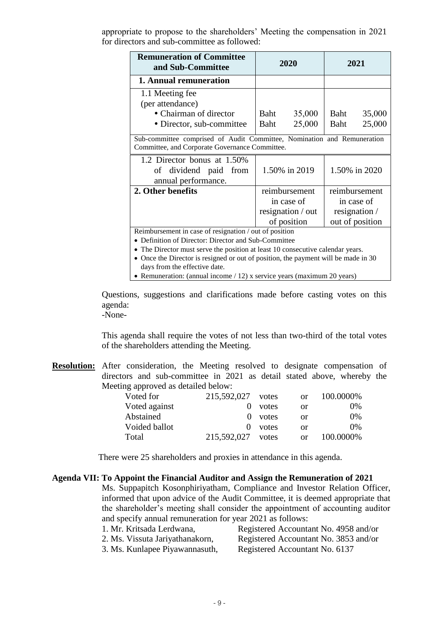appropriate to propose to the shareholders' Meeting the compensation in 2021 for directors and sub-committee as followed:

| <b>Remuneration of Committee</b><br>and Sub-Committee                                                                     | 2020                           | 2021            |  |  |  |
|---------------------------------------------------------------------------------------------------------------------------|--------------------------------|-----------------|--|--|--|
| 1. Annual remuneration                                                                                                    |                                |                 |  |  |  |
| 1.1 Meeting fee<br>(per attendance)                                                                                       |                                |                 |  |  |  |
| • Chairman of director                                                                                                    | Baht<br>35,000                 | 35,000<br>Baht  |  |  |  |
| • Director, sub-committee                                                                                                 | Baht<br>25,000                 | 25,000<br>Baht  |  |  |  |
| Sub-committee comprised of Audit Committee, Nomination and Remuneration<br>Committee, and Corporate Governance Committee. |                                |                 |  |  |  |
| 1.2 Director bonus at 1.50%<br>of dividend paid from<br>annual performance.                                               | 1.50% in 2019<br>1.50% in 2020 |                 |  |  |  |
| 2. Other benefits                                                                                                         | reimbursement                  | reimbursement   |  |  |  |
|                                                                                                                           | in case of                     | in case of      |  |  |  |
|                                                                                                                           | resignation / out              | resignation /   |  |  |  |
|                                                                                                                           | of position                    | out of position |  |  |  |
| Reimbursement in case of resignation / out of position                                                                    |                                |                 |  |  |  |
| Definition of Director: Director and Sub-Committee                                                                        |                                |                 |  |  |  |
| • The Director must serve the position at least 10 consecutive calendar years.                                            |                                |                 |  |  |  |
| • Once the Director is resigned or out of position, the payment will be made in 30                                        |                                |                 |  |  |  |

days from the effective date.

• Remuneration: (annual income / 12) x service years (maximum 20 years)

Questions, suggestions and clarifications made before casting votes on this agenda:

-None-

This agenda shall require the votes of not less than two-third of the total votes of the shareholders attending the Meeting.

**Resolution:** After consideration, the Meeting resolved to designate compensation of directors and sub-committee in 2021 as detail stated above, whereby the Meeting approved as detailed below:

| Voted for     | 215,592,027 votes |           | <sub>or</sub> | 100.0000% |
|---------------|-------------------|-----------|---------------|-----------|
| Voted against |                   | votes     | or            | $0\%$     |
| Abstained     |                   | $0$ votes | or            | $0\%$     |
| Voided ballot | $\theta$          | votes     | or            | $0\%$     |
| Total         | 215,592,027       | votes     | <sub>or</sub> | 100.0000% |

There were 25 shareholders and proxies in attendance in this agenda.

#### **Agenda VII: To Appoint the Financial Auditor and Assign the Remuneration of 2021**

Ms. Suppapitch Kosonphiriyatham, Compliance and Investor Relation Officer, informed that upon advice of the Audit Committee, it is deemed appropriate that the shareholder's meeting shall consider the appointment of accounting auditor and specify annual remuneration for year 2021 as follows:

| 1. Mr. Kritsada Lerdwana,       | Registered Accountant No. 4958 and/or |
|---------------------------------|---------------------------------------|
| 2. Ms. Vissuta Jariyathanakorn, | Registered Accountant No. 3853 and/or |
| 3. Ms. Kunlapee Piyawannasuth,  | Registered Accountant No. 6137        |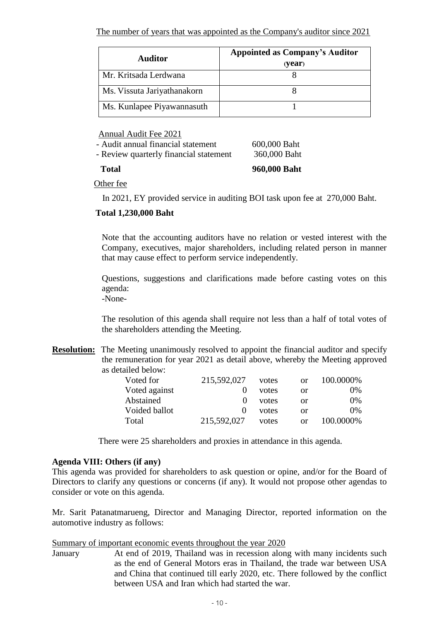| <b>Auditor</b>              | <b>Appointed as Company's Auditor</b><br>(year) |
|-----------------------------|-------------------------------------------------|
| Mr. Kritsada Lerdwana       |                                                 |
| Ms. Vissuta Jariyathanakorn |                                                 |
| Ms. Kunlapee Piyawannasuth  |                                                 |

Annual Audit Fee 2021

| <b>Total</b>                           | 960,000 Baht |
|----------------------------------------|--------------|
| - Review quarterly financial statement | 360,000 Baht |
| - Audit annual financial statement     | 600,000 Baht |

Other fee

In 2021, EY provided service in auditing BOI task upon fee at 270,000 Baht.

# **Total 1,230,000 Baht**

Note that the accounting auditors have no relation or vested interest with the Company, executives, major shareholders, including related person in manner that may cause effect to perform service independently.

Questions, suggestions and clarifications made before casting votes on this agenda:

-None-

The resolution of this agenda shall require not less than a half of total votes of the shareholders attending the Meeting.

**Resolution:** The Meeting unanimously resolved to appoint the financial auditor and specify the remuneration for year 2021 as detail above, whereby the Meeting approved as detailed below:

| Voted for     | 215,592,027       | votes | or | 100.0000% |
|---------------|-------------------|-------|----|-----------|
| Voted against |                   | votes | or | 0%        |
| Abstained     | $\mathbf{\Omega}$ | votes | or | $0\%$     |
| Voided ballot |                   | votes | or | $0\%$     |
| Total         | 215,592,027       | votes | or | 100.0000% |

There were 25 shareholders and proxies in attendance in this agenda.

## **Agenda VIII: Others (if any)**

This agenda was provided for shareholders to ask question or opine, and/or for the Board of Directors to clarify any questions or concerns (if any). It would not propose other agendas to consider or vote on this agenda.

Mr. Sarit Patanatmarueng, Director and Managing Director, reported information on the automotive industry as follows:

### Summary of important economic events throughout the year 2020

January At end of 2019, Thailand was in recession along with many incidents such as the end of General Motors eras in Thailand, the trade war between USA and China that continued till early 2020, etc. There followed by the conflict between USA and Iran which had started the war.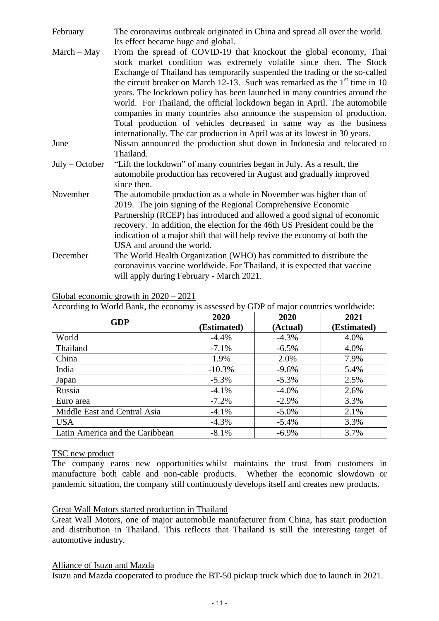| February         | The coronavirus outbreak originated in China and spread all over the world.                                                                                                                                                                                                                                                                                                                                                                                                                                                                                                                                          |  |  |  |  |
|------------------|----------------------------------------------------------------------------------------------------------------------------------------------------------------------------------------------------------------------------------------------------------------------------------------------------------------------------------------------------------------------------------------------------------------------------------------------------------------------------------------------------------------------------------------------------------------------------------------------------------------------|--|--|--|--|
|                  | Its effect became huge and global.                                                                                                                                                                                                                                                                                                                                                                                                                                                                                                                                                                                   |  |  |  |  |
| $March - May$    | From the spread of COVID-19 that knockout the global economy, Thai<br>stock market condition was extremely volatile since then. The Stock<br>Exchange of Thailand has temporarily suspended the trading or the so-called<br>the circuit breaker on March 12-13. Such was remarked as the $1st$ time in 10<br>years. The lockdown policy has been launched in many countries around the<br>world. For Thailand, the official lockdown began in April. The automobile<br>companies in many countries also announce the suspension of production.<br>Total production of vehicles decreased in same way as the business |  |  |  |  |
|                  | internationally. The car production in April was at its lowest in 30 years.                                                                                                                                                                                                                                                                                                                                                                                                                                                                                                                                          |  |  |  |  |
| June             | Nissan announced the production shut down in Indonesia and relocated to<br>Thailand.                                                                                                                                                                                                                                                                                                                                                                                                                                                                                                                                 |  |  |  |  |
| $July - October$ | "Lift the lockdown" of many countries began in July. As a result, the<br>automobile production has recovered in August and gradually improved<br>since then.                                                                                                                                                                                                                                                                                                                                                                                                                                                         |  |  |  |  |
| November         | The automobile production as a whole in November was higher than of<br>2019. The join signing of the Regional Comprehensive Economic<br>Partnership (RCEP) has introduced and allowed a good signal of economic<br>recovery. In addition, the election for the 46th US President could be the<br>indication of a major shift that will help revive the economy of both the<br>USA and around the world.                                                                                                                                                                                                              |  |  |  |  |
| December         | The World Health Organization (WHO) has committed to distribute the<br>coronavirus vaccine worldwide. For Thailand, it is expected that vaccine<br>will apply during February - March 2021.                                                                                                                                                                                                                                                                                                                                                                                                                          |  |  |  |  |

Global economic growth in 2020 – 2021

According to World Bank, the economy is assessed by GDP of major countries worldwide:

| <b>GDP</b>                      | 2020<br>(Estimated) | 2020<br>(Actual) | 2021<br>(Estimated) |
|---------------------------------|---------------------|------------------|---------------------|
| World                           | $-4.4%$             | $-4.3%$          | 4.0%                |
| Thailand                        | $-7.1\%$            | $-6.5\%$         | 4.0%                |
| China                           | 1.9%                | 2.0%             | 7.9%                |
| India                           | $-10.3\%$           | $-9.6%$          | 5.4%                |
| Japan                           | $-5.3\%$            | $-5.3\%$         | 2.5%                |
| Russia                          | $-4.1\%$            | $-4.0\%$         | 2.6%                |
| Euro area                       | $-7.2%$             | $-2.9\%$         | 3.3%                |
| Middle East and Central Asia    | $-4.1\%$            | $-5.0\%$         | 2.1%                |
| <b>USA</b>                      | $-4.3\%$            | $-5.4\%$         | 3.3%                |
| Latin America and the Caribbean | $-8.1\%$            | $-6.9\%$         | 3.7%                |

### TSC new product

The company earns new opportunities whilst maintains the trust from customers in manufacture both cable and non-cable products. Whether the economic slowdown or pandemic situation, the company still continuously develops itself and creates new products.

### Great Wall Motors started production in Thailand

Great Wall Motors, one of major automobile manufacturer from China, has start production and distribution in Thailand. This reflects that Thailand is still the interesting target of automotive industry.

Alliance of Isuzu and Mazda

Isuzu and Mazda cooperated to produce the BT-50 pickup truck which due to launch in 2021.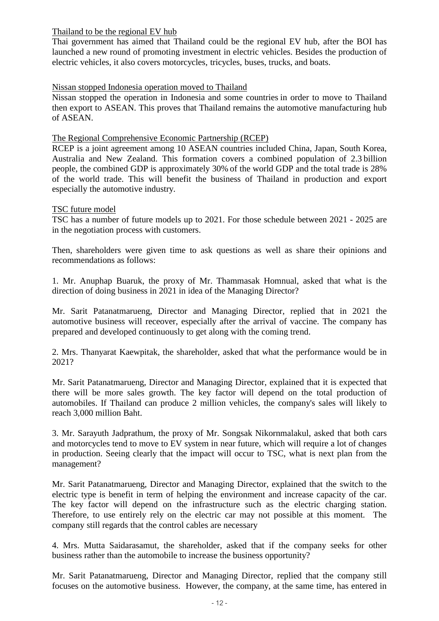## Thailand to be the regional EV hub

Thai government has aimed that Thailand could be the regional EV hub, after the BOI has launched a new round of promoting investment in electric vehicles. Besides the production of electric vehicles, it also covers motorcycles, tricycles, buses, trucks, and boats.

## Nissan stopped Indonesia operation moved to Thailand

Nissan stopped the operation in Indonesia and some countries in order to move to Thailand then export to ASEAN. This proves that Thailand remains the automotive manufacturing hub of ASEAN.

## The Regional Comprehensive Economic Partnership (RCEP)

RCEP is a joint agreement among 10 ASEAN countries included China, Japan, South Korea, Australia and New Zealand. This formation covers a combined population of 2.3 billion people, the combined GDP is approximately 30% of the world GDP and the total trade is 28% of the world trade. This will benefit the business of Thailand in production and export especially the automotive industry.

## TSC future model

TSC has a number of future models up to 2021. For those schedule between 2021 - 2025 are in the negotiation process with customers.

Then, shareholders were given time to ask questions as well as share their opinions and recommendations as follows:

1. Mr. Anuphap Buaruk, the proxy of Mr. Thammasak Homnual, asked that what is the direction of doing business in 2021 in idea of the Managing Director?

Mr. Sarit Patanatmarueng, Director and Managing Director, replied that in 2021 the automotive business will receover, especially after the arrival of vaccine. The company has prepared and developed continuously to get along with the coming trend.

2. Mrs. Thanyarat Kaewpitak, the shareholder, asked that what the performance would be in 2021?

Mr. Sarit Patanatmarueng, Director and Managing Director, explained that it is expected that there will be more sales growth. The key factor will depend on the total production of automobiles. If Thailand can produce 2 million vehicles, the company's sales will likely to reach 3,000 million Baht.

3. Mr. Sarayuth Jadprathum, the proxy of Mr. Songsak Nikornmalakul, asked that both cars and motorcycles tend to move to EV system in near future, which will require a lot of changes in production. Seeing clearly that the impact will occur to TSC, what is next plan from the management?

Mr. Sarit Patanatmarueng, Director and Managing Director, explained that the switch to the electric type is benefit in term of helping the environment and increase capacity of the car. The key factor will depend on the infrastructure such as the electric charging station. Therefore, to use entirely rely on the electric car may not possible at this moment. The company still regards that the control cables are necessary

4. Mrs. Mutta Saidarasamut, the shareholder, asked that if the company seeks for other business rather than the automobile to increase the business opportunity?

Mr. Sarit Patanatmarueng, Director and Managing Director, replied that the company still focuses on the automotive business. However, the company, at the same time, has entered in